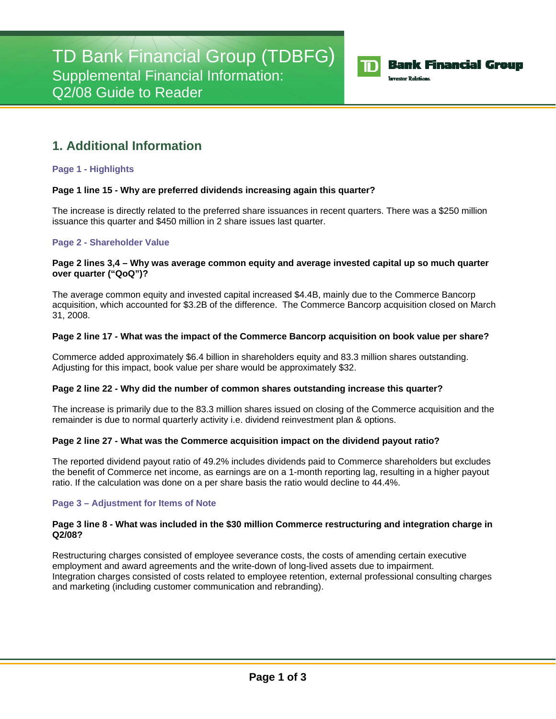

## **Bank Financial Group**

**Investor Relations** 

# **1. Additional Information**

## **Page 1 - Highlights**

## **Page 1 line 15 - Why are preferred dividends increasing again this quarter?**

The increase is directly related to the preferred share issuances in recent quarters. There was a \$250 million issuance this quarter and \$450 million in 2 share issues last quarter.

## **Page 2 - Shareholder Value**

#### **Page 2 lines 3,4 – Why was average common equity and average invested capital up so much quarter over quarter ("QoQ")?**

The average common equity and invested capital increased \$4.4B, mainly due to the Commerce Bancorp acquisition, which accounted for \$3.2B of the difference. The Commerce Bancorp acquisition closed on March 31, 2008.

#### **Page 2 line 17 - What was the impact of the Commerce Bancorp acquisition on book value per share?**

Commerce added approximately \$6.4 billion in shareholders equity and 83.3 million shares outstanding. Adjusting for this impact, book value per share would be approximately \$32.

#### **Page 2 line 22 - Why did the number of common shares outstanding increase this quarter?**

The increase is primarily due to the 83.3 million shares issued on closing of the Commerce acquisition and the remainder is due to normal quarterly activity i.e. dividend reinvestment plan & options.

#### **Page 2 line 27 - What was the Commerce acquisition impact on the dividend payout ratio?**

The reported dividend payout ratio of 49.2% includes dividends paid to Commerce shareholders but excludes the benefit of Commerce net income, as earnings are on a 1-month reporting lag, resulting in a higher payout ratio. If the calculation was done on a per share basis the ratio would decline to 44.4%.

#### **Page 3 – Adjustment for Items of Note**

#### **Page 3 line 8 - What was included in the \$30 million Commerce restructuring and integration charge in Q2/08?**

Restructuring charges consisted of employee severance costs, the costs of amending certain executive employment and award agreements and the write-down of long-lived assets due to impairment. Integration charges consisted of costs related to employee retention, external professional consulting charges and marketing (including customer communication and rebranding).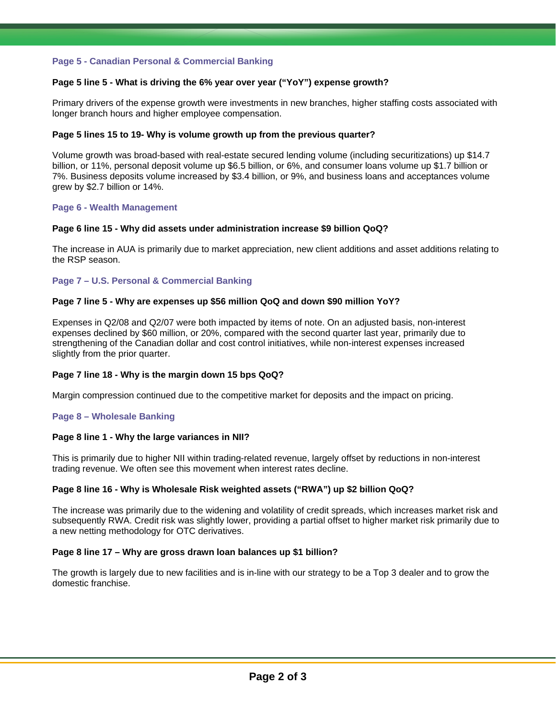#### **Page 5 - Canadian Personal & Commercial Banking**

## **Page 5 line 5 - What is driving the 6% year over year ("YoY") expense growth?**

Primary drivers of the expense growth were investments in new branches, higher staffing costs associated with longer branch hours and higher employee compensation.

#### **Page 5 lines 15 to 19- Why is volume growth up from the previous quarter?**

Volume growth was broad-based with real-estate secured lending volume (including securitizations) up \$14.7 billion, or 11%, personal deposit volume up \$6.5 billion, or 6%, and consumer loans volume up \$1.7 billion or 7%. Business deposits volume increased by \$3.4 billion, or 9%, and business loans and acceptances volume grew by \$2.7 billion or 14%.

#### **Page 6 - Wealth Management**

#### **Page 6 line 15 - Why did assets under administration increase \$9 billion QoQ?**

The increase in AUA is primarily due to market appreciation, new client additions and asset additions relating to the RSP season.

#### **Page 7 – U.S. Personal & Commercial Banking**

#### **Page 7 line 5 - Why are expenses up \$56 million QoQ and down \$90 million YoY?**

Expenses in Q2/08 and Q2/07 were both impacted by items of note. On an adjusted basis, non-interest expenses declined by \$60 million, or 20%, compared with the second quarter last year, primarily due to strengthening of the Canadian dollar and cost control initiatives, while non-interest expenses increased slightly from the prior quarter.

#### **Page 7 line 18 - Why is the margin down 15 bps QoQ?**

Margin compression continued due to the competitive market for deposits and the impact on pricing.

#### **Page 8 – Wholesale Banking**

#### **Page 8 line 1 - Why the large variances in NII?**

This is primarily due to higher NII within trading-related revenue, largely offset by reductions in non-interest trading revenue. We often see this movement when interest rates decline.

## **Page 8 line 16 - Why is Wholesale Risk weighted assets ("RWA") up \$2 billion QoQ?**

The increase was primarily due to the widening and volatility of credit spreads, which increases market risk and subsequently RWA. Credit risk was slightly lower, providing a partial offset to higher market risk primarily due to a new netting methodology for OTC derivatives.

#### **Page 8 line 17 – Why are gross drawn loan balances up \$1 billion?**

The growth is largely due to new facilities and is in-line with our strategy to be a Top 3 dealer and to grow the domestic franchise.